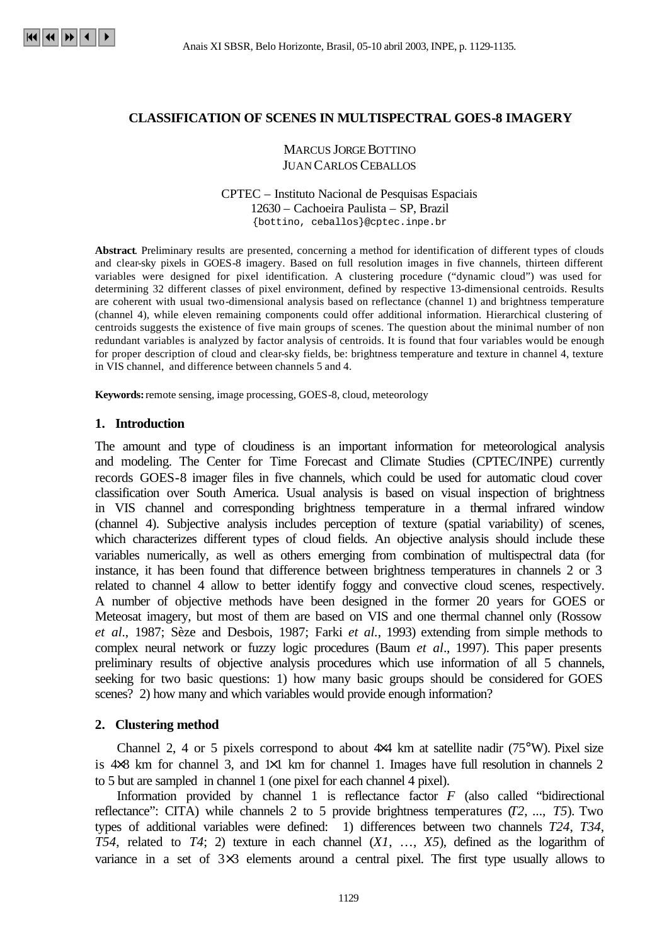# **CLASSIFICATION OF SCENES IN MULTISPECTRAL GOES-8 IMAGERY**

# **MARCUS JORGE BOTTINO** JUAN CARLOS CEBALLOS

#### CPTEC – Instituto Nacional de Pesquisas Espaciais 12630 – Cachoeira Paulista – SP, Brazil {bottino, ceballos}@cptec.inpe.br

**Abstract**. Preliminary results are presented, concerning a method for identification of different types of clouds and clear-sky pixels in GOES-8 imagery. Based on full resolution images in five channels, thirteen different variables were designed for pixel identification. A clustering procedure ("dynamic cloud") was used for determining 32 different classes of pixel environment, defined by respective 13-dimensional centroids. Results are coherent with usual two-dimensional analysis based on reflectance (channel 1) and brightness temperature (channel 4), while eleven remaining components could offer additional information. Hierarchical clustering of centroids suggests the existence of five main groups of scenes. The question about the minimal number of non redundant variables is analyzed by factor analysis of centroids. It is found that four variables would be enough for proper description of cloud and clear-sky fields, be: brightness temperature and texture in channel 4, texture in VIS channel, and difference between channels 5 and 4.

**Keywords:** remote sensing, image processing, GOES-8, cloud, meteorology

### **1. Introduction**

The amount and type of cloudiness is an important information for meteorological analysis and modeling. The Center for Time Forecast and Climate Studies (CPTEC/INPE) currently records GOES-8 imager files in five channels, which could be used for automatic cloud cover classification over South America. Usual analysis is based on visual inspection of brightness in VIS channel and corresponding brightness temperature in a thermal infrared window (channel 4). Subjective analysis includes perception of texture (spatial variability) of scenes, which characterizes different types of cloud fields. An objective analysis should include these variables numerically, as well as others emerging from combination of multispectral data (for instance, it has been found that difference between brightness temperatures in channels 2 or 3 related to channel 4 allow to better identify foggy and convective cloud scenes, respectively. A number of objective methods have been designed in the former 20 years for GOES or Meteosat imagery, but most of them are based on VIS and one thermal channel only (Rossow *et al*., 1987; Sèze and Desbois, 1987; Farki *et al.*, 1993) extending from simple methods to complex neural network or fuzzy logic procedures (Baum *et al*., 1997). This paper presents preliminary results of objective analysis procedures which use information of all 5 channels, seeking for two basic questions: 1) how many basic groups should be considered for GOES scenes? 2) how many and which variables would provide enough information?

### **2. Clustering method**

Channel 2, 4 or 5 pixels correspond to about  $4\times4$  km at satellite nadir (75°W). Pixel size is  $4×8$  km for channel 3, and  $1×1$  km for channel 1. Images have full resolution in channels 2 to 5 but are sampled in channel 1 (one pixel for each channel 4 pixel).

Information provided by channel 1 is reflectance factor *F* (also called "bidirectional reflectance": CITA) while channels 2 to 5 provide brightness temperatures (*T2*, ..., *T5*). Two types of additional variables were defined: 1) differences between two channels *T24*, *T34*, *T54*, related to *T4*; 2) texture in each channel (*X1*, …, *X5*), defined as the logarithm of variance in a set of 3×3 elements around a central pixel. The first type usually allows to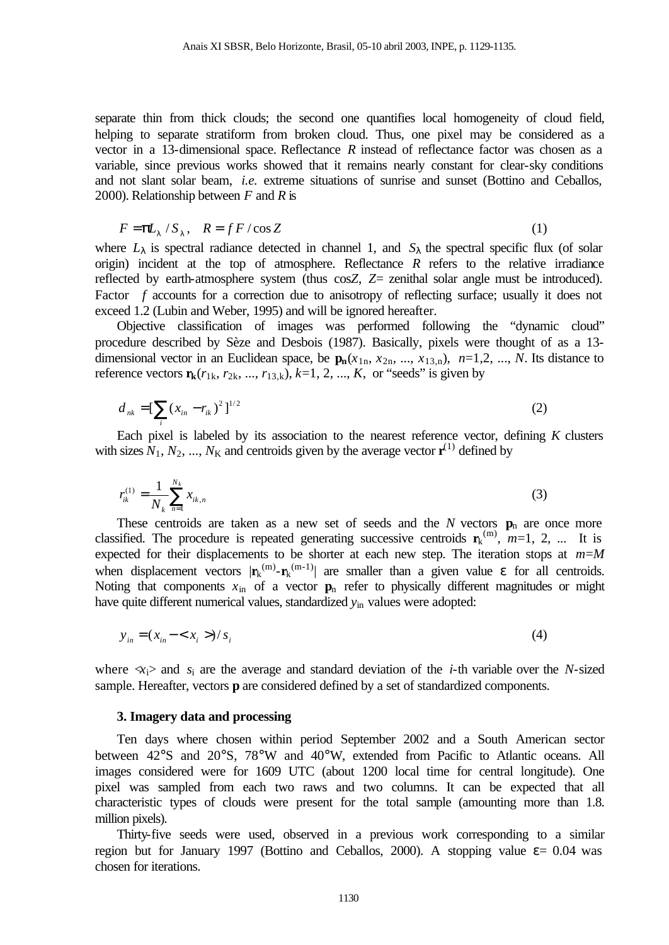separate thin from thick clouds; the second one quantifies local homogeneity of cloud field, helping to separate stratiform from broken cloud. Thus, one pixel may be considered as a vector in a 13-dimensional space. Reflectance *R* instead of reflectance factor was chosen as a variable, since previous works showed that it remains nearly constant for clear-sky conditions and not slant solar beam, *i.e.* extreme situations of sunrise and sunset (Bottino and Ceballos, 2000). Relationship between *F* and *R* is

$$
F = \mathbf{p} \mathbf{L}_1 / S_1, \quad R = f \mathbf{F} / \cos Z \tag{1}
$$

where  $L_{\lambda}$  is spectral radiance detected in channel 1, and  $S_{\lambda}$  the spectral specific flux (of solar origin) incident at the top of atmosphere. Reflectance *R* refers to the relative irradiance reflected by earth-atmosphere system (thus cos*Z*, *Z*= zenithal solar angle must be introduced). Factor *f* accounts for a correction due to anisotropy of reflecting surface; usually it does not exceed 1.2 (Lubin and Weber, 1995) and will be ignored hereafter.

Objective classification of images was performed following the "dynamic cloud" procedure described by Sèze and Desbois (1987). Basically, pixels were thought of as a 13 dimensional vector in an Euclidean space, be  $\mathbf{p}_n(x_{1n}, x_{2n}, ..., x_{13,n})$ ,  $n=1,2, ..., N$ . Its distance to reference vectors  $\mathbf{r}_k$ ( $r_{1k}$ ,  $r_{2k}$ , ...,  $r_{13,k}$ ),  $k=1, 2, ..., K$ , or "seeds" is given by

$$
d_{nk} = \left[\sum_{i} (x_{in} - r_{ik})^2\right]^{1/2} \tag{2}
$$

Each pixel is labeled by its association to the nearest reference vector, defining *K* clusters with sizes  $N_1$ ,  $N_2$ , ...,  $N_K$  and centroids given by the average vector  $\mathbf{r}^{(1)}$  defined by

$$
r_{ik}^{(1)} = \frac{1}{N_k} \sum_{n=1}^{N_k} x_{ik,n}
$$
 (3)

These centroids are taken as a new set of seeds and the  $N$  vectors  $\mathbf{p}_n$  are once more classified. The procedure is repeated generating successive centroids  $\mathbf{r}_k^{(m)}$ ,  $m=1, 2, ...$  It is expected for their displacements to be shorter at each new step. The iteration stops at *m*=*M* when displacement vectors  $|\mathbf{r}_k^{(m)} - \mathbf{r}_k^{(m-1)}|$  are smaller than a given value  $\varepsilon$  for all centroids. Noting that components  $x_{in}$  of a vector  $\mathbf{p}_n$  refer to physically different magnitudes or might have quite different numerical values, standardized  $y_{in}$  values were adopted:

$$
y_{in} = (x_{in} - \langle x_i \rangle)/s_i
$$
\n<sup>(4)</sup>

where  $\langle x_i \rangle$  and  $s_i$  are the average and standard deviation of the *i*-th variable over the *N*-sized sample. Hereafter, vectors **p** are considered defined by a set of standardized components.

#### **3. Imagery data and processing**

Ten days where chosen within period September 2002 and a South American sector between 42°S and 20°S, 78°W and 40°W, extended from Pacific to Atlantic oceans. All images considered were for 1609 UTC (about 1200 local time for central longitude). One pixel was sampled from each two raws and two columns. It can be expected that all characteristic types of clouds were present for the total sample (amounting more than 1.8. million pixels).

Thirty-five seeds were used, observed in a previous work corresponding to a similar region but for January 1997 (Bottino and Ceballos, 2000). A stopping value  $\varepsilon = 0.04$  was chosen for iterations.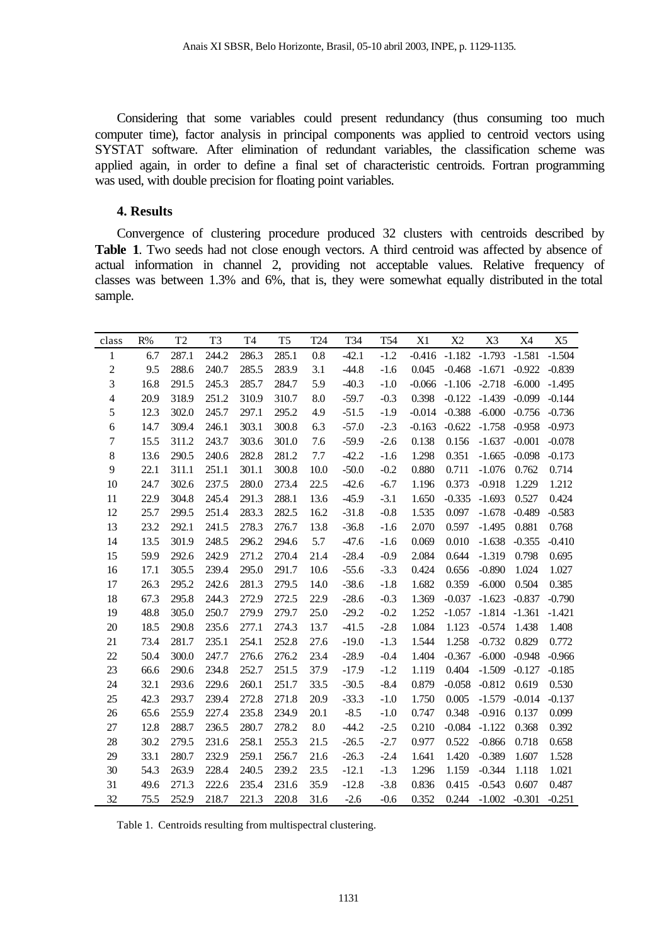Considering that some variables could present redundancy (thus consuming too much computer time), factor analysis in principal components was applied to centroid vectors using SYSTAT software. After elimination of redundant variables, the classification scheme was applied again, in order to define a final set of characteristic centroids. Fortran programming was used, with double precision for floating point variables.

#### **4. Results**

Convergence of clustering procedure produced 32 clusters with centroids described by **Table 1**. Two seeds had not close enough vectors. A third centroid was affected by absence of actual information in channel 2, providing not acceptable values. Relative frequency of classes was between 1.3% and 6%, that is, they were somewhat equally distributed in the total sample.

| class                    | R%   | T <sub>2</sub> | T <sub>3</sub> | T <sub>4</sub> | T <sub>5</sub> | T24       | T34     | T <sub>54</sub> | X1       | X2                         | X3              | X4       | X <sub>5</sub> |
|--------------------------|------|----------------|----------------|----------------|----------------|-----------|---------|-----------------|----------|----------------------------|-----------------|----------|----------------|
| $\mathbf{1}$             | 6.7  | 287.1          | 244.2          | 286.3          | 285.1          | 0.8       | $-42.1$ | $-1.2$          |          | $-0.416$ $-1.182$ $-1.793$ |                 | $-1.581$ | $-1.504$       |
| $\overline{c}$           | 9.5  | 288.6          | 240.7          | 285.5          | 283.9          | 3.1       | $-44.8$ | $-1.6$          | 0.045    | $-0.468$                   | $-1.671$        | $-0.922$ | $-0.839$       |
| 3                        | 16.8 | 291.5          | 245.3          | 285.7          | 284.7          | 5.9       | $-40.3$ | $-1.0$          | $-0.066$ |                            | $-1.106 -2.718$ | $-6.000$ | $-1.495$       |
| $\overline{\mathcal{L}}$ | 20.9 | 318.9          | 251.2          | 310.9          | 310.7          | 8.0       | $-59.7$ | $-0.3$          | 0.398    | $-0.122$                   | $-1.439$        | $-0.099$ | $-0.144$       |
| 5                        | 12.3 | 302.0          | 245.7          | 297.1          | 295.2          | 4.9       | $-51.5$ | $-1.9$          | $-0.014$ | $-0.388$                   | $-6.000$        | $-0.756$ | $-0.736$       |
| $\boldsymbol{6}$         | 14.7 | 309.4          | 246.1          | 303.1          | 300.8          | 6.3       | $-57.0$ | $-2.3$          | $-0.163$ | $-0.622$                   | $-1.758$        | $-0.958$ | $-0.973$       |
| $\tau$                   | 15.5 | 311.2          | 243.7          | 303.6          | 301.0          | 7.6       | $-59.9$ | $-2.6$          | 0.138    | 0.156                      | $-1.637$        | $-0.001$ | $-0.078$       |
| $\,$ 8 $\,$              | 13.6 | 290.5          | 240.6          | 282.8          | 281.2          | 7.7       | $-42.2$ | $-1.6$          | 1.298    | 0.351                      | $-1.665$        | $-0.098$ | $-0.173$       |
| 9                        | 22.1 | 311.1          | 251.1          | 301.1          | 300.8          | 10.0      | $-50.0$ | $-0.2$          | 0.880    | 0.711                      | $-1.076$        | 0.762    | 0.714          |
| 10                       | 24.7 | 302.6          | 237.5          | 280.0          | 273.4          | 22.5      | $-42.6$ | $-6.7$          | 1.196    | 0.373                      | $-0.918$        | 1.229    | 1.212          |
| 11                       | 22.9 | 304.8          | 245.4          | 291.3          | 288.1          | 13.6      | $-45.9$ | $-3.1$          | 1.650    | $-0.335$                   | $-1.693$        | 0.527    | 0.424          |
| 12                       | 25.7 | 299.5          | 251.4          | 283.3          | 282.5          | 16.2      | $-31.8$ | $-0.8$          | 1.535    | 0.097                      | $-1.678$        | $-0.489$ | $-0.583$       |
| 13                       | 23.2 | 292.1          | 241.5          | 278.3          | 276.7          | 13.8      | $-36.8$ | $-1.6$          | 2.070    | 0.597                      | $-1.495$        | 0.881    | 0.768          |
| 14                       | 13.5 | 301.9          | 248.5          | 296.2          | 294.6          | 5.7       | $-47.6$ | $-1.6$          | 0.069    | 0.010                      | $-1.638$        | $-0.355$ | $-0.410$       |
| 15                       | 59.9 | 292.6          | 242.9          | 271.2          | 270.4          | 21.4      | $-28.4$ | $-0.9$          | 2.084    | 0.644                      | $-1.319$        | 0.798    | 0.695          |
| 16                       | 17.1 | 305.5          | 239.4          | 295.0          | 291.7          | 10.6      | $-55.6$ | $-3.3$          | 0.424    | 0.656                      | $-0.890$        | 1.024    | 1.027          |
| 17                       | 26.3 | 295.2          | 242.6          | 281.3          | 279.5          | 14.0      | $-38.6$ | $-1.8$          | 1.682    | 0.359                      | $-6.000$        | 0.504    | 0.385          |
| 18                       | 67.3 | 295.8          | 244.3          | 272.9          | 272.5          | 22.9      | $-28.6$ | $-0.3$          | 1.369    | $-0.037$                   | $-1.623$        | $-0.837$ | $-0.790$       |
| 19                       | 48.8 | 305.0          | 250.7          | 279.9          | 279.7          | 25.0      | $-29.2$ | $-0.2$          | 1.252    | $-1.057$                   | $-1.814$        | $-1.361$ | $-1.421$       |
| 20                       | 18.5 | 290.8          | 235.6          | 277.1          | 274.3          | 13.7      | $-41.5$ | $-2.8$          | 1.084    | 1.123                      | $-0.574$        | 1.438    | 1.408          |
| 21                       | 73.4 | 281.7          | 235.1          | 254.1          | 252.8          | 27.6      | $-19.0$ | $-1.3$          | 1.544    | 1.258                      | $-0.732$        | 0.829    | 0.772          |
| 22                       | 50.4 | 300.0          | 247.7          | 276.6          | 276.2          | 23.4      | $-28.9$ | $-0.4$          | 1.404    | $-0.367$                   | $-6.000$        | $-0.948$ | $-0.966$       |
| 23                       | 66.6 | 290.6          | 234.8          | 252.7          | 251.5          | 37.9      | $-17.9$ | $-1.2$          | 1.119    | 0.404                      | $-1.509$        | $-0.127$ | $-0.185$       |
| 24                       | 32.1 | 293.6          | 229.6          | 260.1          | 251.7          | 33.5      | $-30.5$ | $-8.4$          | 0.879    | $-0.058$                   | $-0.812$        | 0.619    | 0.530          |
| 25                       | 42.3 | 293.7          | 239.4          | 272.8          | 271.8          | 20.9      | $-33.3$ | $-1.0$          | 1.750    | 0.005                      | $-1.579$        | $-0.014$ | $-0.137$       |
| 26                       | 65.6 | 255.9          | 227.4          | 235.8          | 234.9          | 20.1      | $-8.5$  | $-1.0$          | 0.747    | 0.348                      | $-0.916$        | 0.137    | 0.099          |
| 27                       | 12.8 | 288.7          | 236.5          | 280.7          | 278.2          | $\rm 8.0$ | $-44.2$ | $-2.5$          | 0.210    | $-0.084$                   | $-1.122$        | 0.368    | 0.392          |
| 28                       | 30.2 | 279.5          | 231.6          | 258.1          | 255.3          | 21.5      | $-26.5$ | $-2.7$          | 0.977    | 0.522                      | $-0.866$        | 0.718    | 0.658          |
| 29                       | 33.1 | 280.7          | 232.9          | 259.1          | 256.7          | 21.6      | $-26.3$ | $-2.4$          | 1.641    | 1.420                      | $-0.389$        | 1.607    | 1.528          |
| 30                       | 54.3 | 263.9          | 228.4          | 240.5          | 239.2          | 23.5      | $-12.1$ | $-1.3$          | 1.296    | 1.159                      | $-0.344$        | 1.118    | 1.021          |
| 31                       | 49.6 | 271.3          | 222.6          | 235.4          | 231.6          | 35.9      | $-12.8$ | $-3.8$          | 0.836    | 0.415                      | $-0.543$        | 0.607    | 0.487          |
| 32                       | 75.5 | 252.9          | 218.7          | 221.3          | 220.8          | 31.6      | $-2.6$  | $-0.6$          | 0.352    | 0.244                      | $-1.002 -0.301$ |          | $-0.251$       |

Table 1. Centroids resulting from multispectral clustering.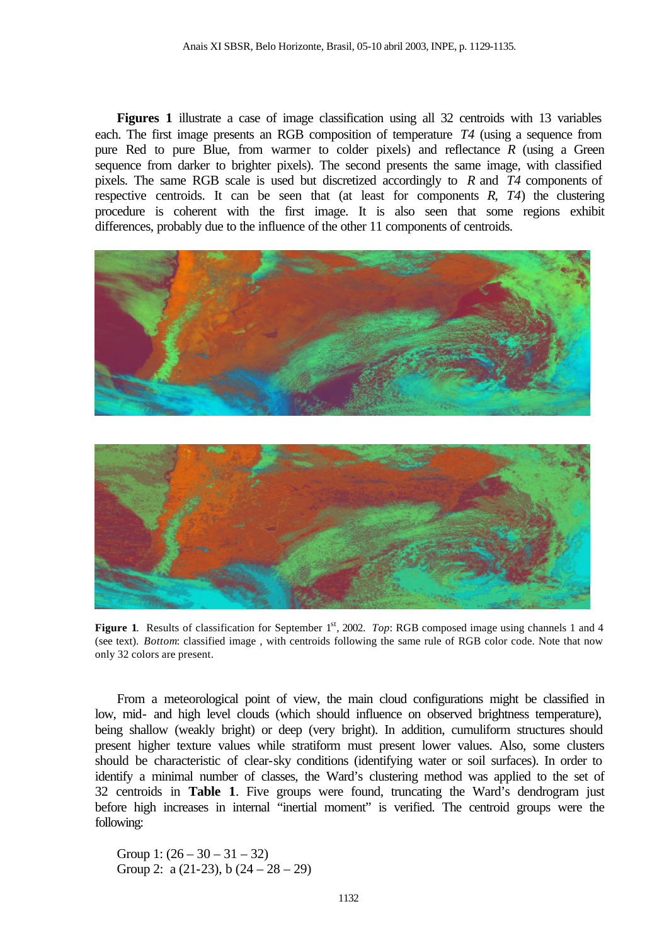**Figures 1** illustrate a case of image classification using all 32 centroids with 13 variables each. The first image presents an RGB composition of temperature *T4* (using a sequence from pure Red to pure Blue, from warmer to colder pixels) and reflectance *R* (using a Green sequence from darker to brighter pixels). The second presents the same image, with classified pixels. The same RGB scale is used but discretized accordingly to *R* and *T4* components of respective centroids. It can be seen that (at least for components *R*, *T4*) the clustering procedure is coherent with the first image. It is also seen that some regions exhibit differences, probably due to the influence of the other 11 components of centroids.



**Figure 1.** Results of classification for September 1<sup>st</sup>, 2002. *Top*: RGB composed image using channels 1 and 4 (see text). *Bottom*: classified image , with centroids following the same rule of RGB color code. Note that now only 32 colors are present.

From a meteorological point of view, the main cloud configurations might be classified in low, mid- and high level clouds (which should influence on observed brightness temperature), being shallow (weakly bright) or deep (very bright). In addition, cumuliform structures should present higher texture values while stratiform must present lower values. Also, some clusters should be characteristic of clear-sky conditions (identifying water or soil surfaces). In order to identify a minimal number of classes, the Ward's clustering method was applied to the set of 32 centroids in **Table 1**. Five groups were found, truncating the Ward's dendrogram just before high increases in internal "inertial moment" is verified. The centroid groups were the following:

Group 1:  $(26 - 30 - 31 - 32)$ Group 2: a  $(21-23)$ , b  $(24-28-29)$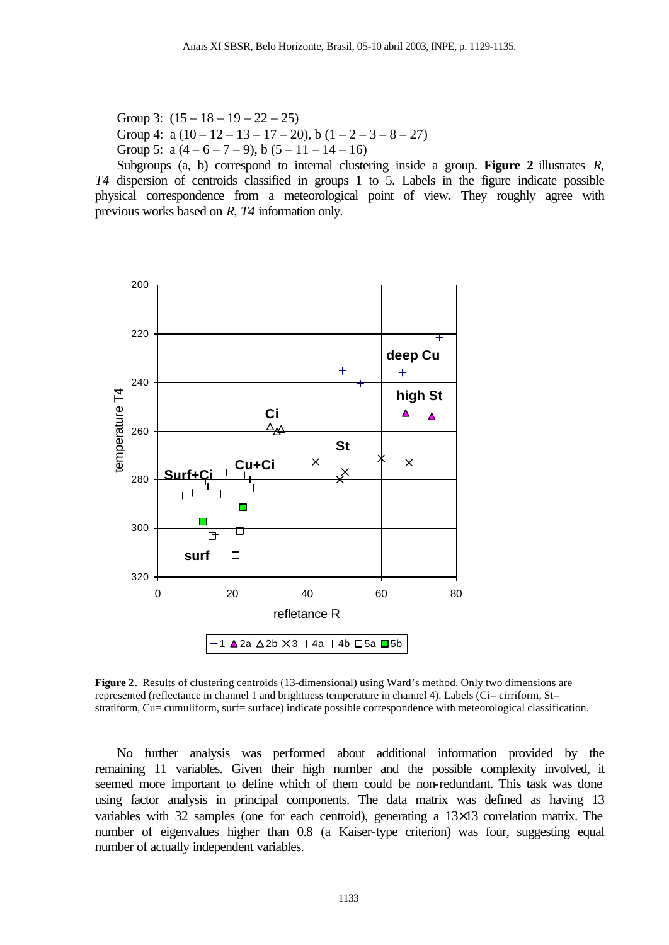Group 3:  $(15 - 18 - 19 - 22 - 25)$ Group 4:  $a(10 - 12 - 13 - 17 - 20)$ ,  $b(1 - 2 - 3 - 8 - 27)$ Group 5:  $a(4-6-7-9)$ ,  $b(5-11-14-16)$ 

Subgroups (a, b) correspond to internal clustering inside a group. **Figure 2** illustrates *R*, *T4* dispersion of centroids classified in groups 1 to 5. Labels in the figure indicate possible physical correspondence from a meteorological point of view. They roughly agree with previous works based on *R*, *T4* information only.



**Figure 2**. Results of clustering centroids (13-dimensional) using Ward's method. Only two dimensions are represented (reflectance in channel 1 and brightness temperature in channel 4). Labels (Ci= cirriform,  $St=$ stratiform, Cu= cumuliform, surf= surface) indicate possible correspondence with meteorological classification.

No further analysis was performed about additional information provided by the remaining 11 variables. Given their high number and the possible complexity involved, it seemed more important to define which of them could be non-redundant. This task was done using factor analysis in principal components. The data matrix was defined as having 13 variables with 32 samples (one for each centroid), generating a 13×13 correlation matrix. The number of eigenvalues higher than 0.8 (a Kaiser-type criterion) was four, suggesting equal number of actually independent variables.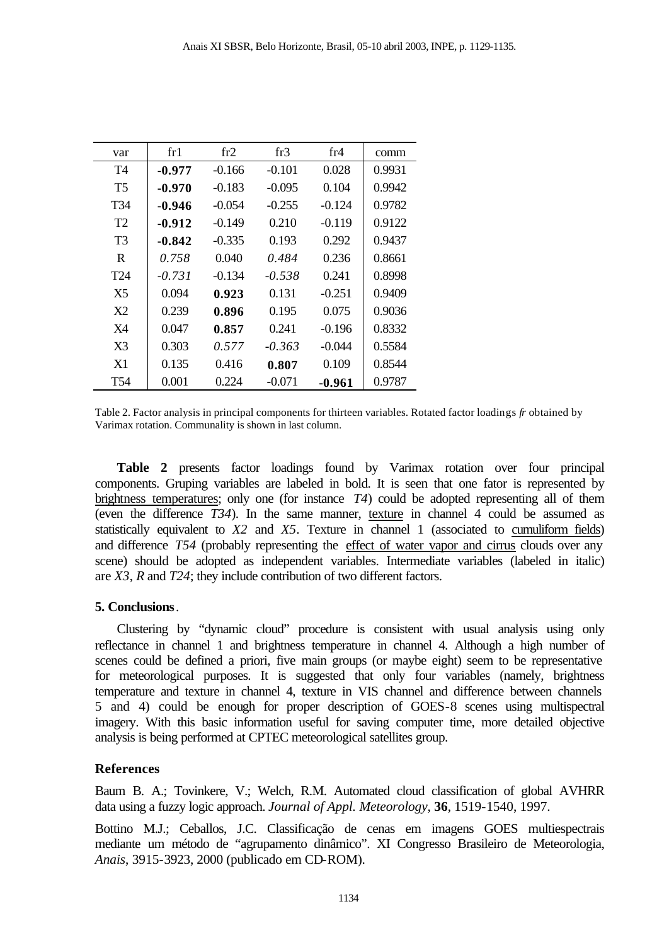| var             | fr1      | fr2      | fr3      | fr4      | comm   |
|-----------------|----------|----------|----------|----------|--------|
| T4              | $-0.977$ | $-0.166$ | $-0.101$ | 0.028    | 0.9931 |
| T5              | $-0.970$ | $-0.183$ | $-0.095$ | 0.104    | 0.9942 |
| T34             | -0.946   | $-0.054$ | $-0.255$ | $-0.124$ | 0.9782 |
| T <sub>2</sub>  | $-0.912$ | $-0.149$ | 0.210    | $-0.119$ | 0.9122 |
| T3              | $-0.842$ | $-0.335$ | 0.193    | 0.292    | 0.9437 |
| R               | 0.758    | 0.040    | 0.484    | 0.236    | 0.8661 |
| T <sub>24</sub> | $-0.731$ | $-0.134$ | $-0.538$ | 0.241    | 0.8998 |
| X5              | 0.094    | 0.923    | 0.131    | $-0.251$ | 0.9409 |
| X <sub>2</sub>  | 0.239    | 0.896    | 0.195    | 0.075    | 0.9036 |
| X4              | 0.047    | 0.857    | 0.241    | $-0.196$ | 0.8332 |
| X3              | 0.303    | 0.577    | $-0.363$ | $-0.044$ | 0.5584 |
| X1              | 0.135    | 0.416    | 0.807    | 0.109    | 0.8544 |
| T54             | 0.001    | 0.224    | $-0.071$ | -0.961   | 0.9787 |

Table 2. Factor analysis in principal components for thirteen variables. Rotated factor loadings *fr* obtained by Varimax rotation. Communality is shown in last column.

**Table 2** presents factor loadings found by Varimax rotation over four principal components. Gruping variables are labeled in bold. It is seen that one fator is represented by brightness temperatures; only one (for instance *T4*) could be adopted representing all of them (even the difference *T34*). In the same manner, texture in channel 4 could be assumed as statistically equivalent to *X2* and *X5*. Texture in channel 1 (associated to cumuliform fields) and difference *T54* (probably representing the effect of water vapor and cirrus clouds over any scene) should be adopted as independent variables. Intermediate variables (labeled in italic) are *X3*, *R* and *T24*; they include contribution of two different factors.

### **5. Conclusions**.

Clustering by "dynamic cloud" procedure is consistent with usual analysis using only reflectance in channel 1 and brightness temperature in channel 4. Although a high number of scenes could be defined a priori, five main groups (or maybe eight) seem to be representative for meteorological purposes. It is suggested that only four variables (namely, brightness temperature and texture in channel 4, texture in VIS channel and difference between channels 5 and 4) could be enough for proper description of GOES-8 scenes using multispectral imagery. With this basic information useful for saving computer time, more detailed objective analysis is being performed at CPTEC meteorological satellites group.

## **References**

Baum B. A.; Tovinkere, V.; Welch, R.M. Automated cloud classification of global AVHRR data using a fuzzy logic approach. *Journal of Appl. Meteorology*, **36**, 1519-1540, 1997.

Bottino M.J.; Ceballos, J.C. Classificação de cenas em imagens GOES multiespectrais mediante um método de "agrupamento dinâmico". XI Congresso Brasileiro de Meteorologia, *Anais*, 3915-3923, 2000 (publicado em CD-ROM).